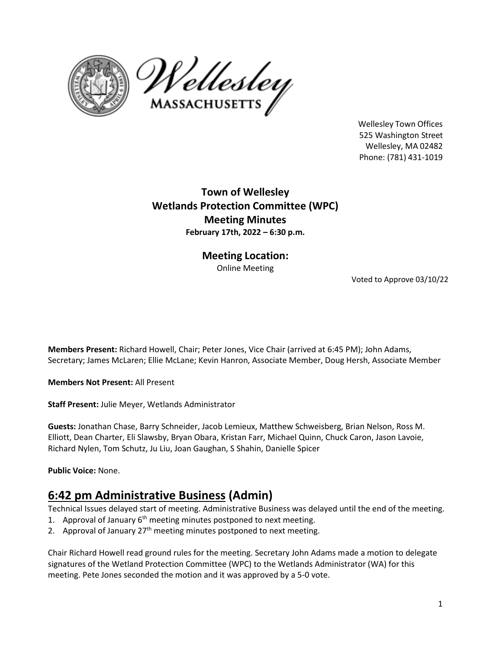



Wellesley Town Offices 525 Washington Street Wellesley, MA 02482 Phone: (781) 431‐1019

**Town of Wellesley Wetlands Protection Committee (WPC) Meeting Minutes February 17th, 2022 – 6:30 p.m.**

> **Meeting Location:** Online Meeting

> > Voted to Approve 03/10/22

**Members Present:** Richard Howell, Chair; Peter Jones, Vice Chair (arrived at 6:45 PM); John Adams, Secretary; James McLaren; Ellie McLane; Kevin Hanron, Associate Member, Doug Hersh, Associate Member

**Members Not Present:** All Present

**Staff Present:** Julie Meyer, Wetlands Administrator

**Guests:** Jonathan Chase, Barry Schneider, Jacob Lemieux, Matthew Schweisberg, Brian Nelson, Ross M. Elliott, Dean Charter, Eli Slawsby, Bryan Obara, Kristan Farr, Michael Quinn, Chuck Caron, Jason Lavoie, Richard Nylen, Tom Schutz, Ju Liu, Joan Gaughan, S Shahin, Danielle Spicer

**Public Voice:** None.

### **6:42 pm Administrative Business (Admin)**

Technical Issues delayed start of meeting. Administrative Business was delayed until the end of the meeting.

- 1. Approval of January  $6<sup>th</sup>$  meeting minutes postponed to next meeting.
- 2. Approval of January  $27<sup>th</sup>$  meeting minutes postponed to next meeting.

Chair Richard Howell read ground rules for the meeting. Secretary John Adams made a motion to delegate signatures of the Wetland Protection Committee (WPC) to the Wetlands Administrator (WA) for this meeting. Pete Jones seconded the motion and it was approved by a 5-0 vote.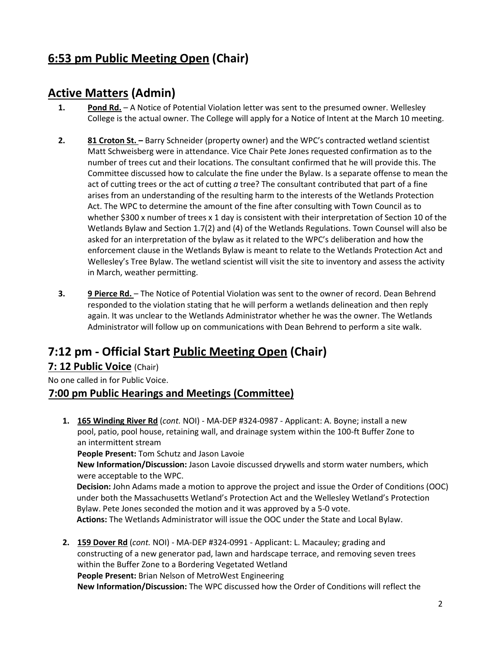# **6:53 pm Public Meeting Open (Chair)**

## **Active Matters (Admin)**

- **1. Pond Rd.** A Notice of Potential Violation letter was sent to the presumed owner. Wellesley College is the actual owner. The College will apply for a Notice of Intent at the March 10 meeting.
- **2. 81 Croton St. –** Barry Schneider (property owner) and the WPC's contracted wetland scientist Matt Schweisberg were in attendance. Vice Chair Pete Jones requested confirmation as to the number of trees cut and their locations. The consultant confirmed that he will provide this. The Committee discussed how to calculate the fine under the Bylaw. Is a separate offense to mean the act of cutting trees or the act of cutting *a* tree? The consultant contributed that part of a fine arises from an understanding of the resulting harm to the interests of the Wetlands Protection Act. The WPC to determine the amount of the fine after consulting with Town Council as to whether \$300 x number of trees x 1 day is consistent with their interpretation of Section 10 of the Wetlands Bylaw and Section 1.7(2) and (4) of the Wetlands Regulations. Town Counsel will also be asked for an interpretation of the bylaw as it related to the WPC's deliberation and how the enforcement clause in the Wetlands Bylaw is meant to relate to the Wetlands Protection Act and Wellesley's Tree Bylaw. The wetland scientist will visit the site to inventory and assess the activity in March, weather permitting.
- **3. 9 Pierce Rd.** The Notice of Potential Violation was sent to the owner of record. Dean Behrend responded to the violation stating that he will perform a wetlands delineation and then reply again. It was unclear to the Wetlands Administrator whether he was the owner. The Wetlands Administrator will follow up on communications with Dean Behrend to perform a site walk.

# **7:12 pm ‐ Official Start Public Meeting Open (Chair)**

### **7: 12 Public Voice** (Chair)

No one called in for Public Voice.

### **7:00 pm Public Hearings and Meetings (Committee)**

**1. 165 Winding River Rd** (*cont.* NOI) ‐ MA‐DEP #324‐0987 ‐ Applicant: A. Boyne; install a new pool, patio, pool house, retaining wall, and drainage system within the 100-ft Buffer Zone to an intermittent stream

**People Present:** Tom Schutz and Jason Lavoie

**New Information/Discussion:** Jason Lavoie discussed drywells and storm water numbers, which were acceptable to the WPC.

**Decision:** John Adams made a motion to approve the project and issue the Order of Conditions (OOC) under both the Massachusetts Wetland's Protection Act and the Wellesley Wetland's Protection Bylaw. Pete Jones seconded the motion and it was approved by a 5-0 vote. **Actions:** The Wetlands Administrator will issue the OOC under the State and Local Bylaw.

**2. 159 Dover Rd** (*cont.* NOI) - MA‐DEP #324‐0991 ‐ Applicant: L. Macauley; grading and constructing of a new generator pad, lawn and hardscape terrace, and removing seven trees within the Buffer Zone to a Bordering Vegetated Wetland **People Present:** Brian Nelson of MetroWest Engineering **New Information/Discussion:** The WPC discussed how the Order of Conditions will reflect the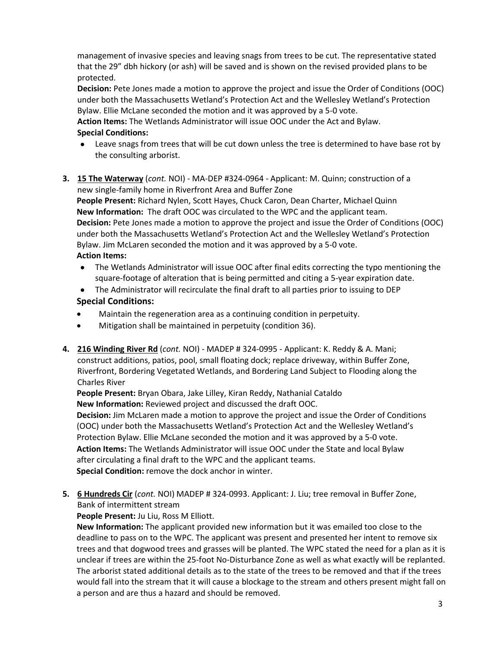management of invasive species and leaving snags from trees to be cut. The representative stated that the 29" dbh hickory (or ash) will be saved and is shown on the revised provided plans to be protected.

**Decision:** Pete Jones made a motion to approve the project and issue the Order of Conditions (OOC) under both the Massachusetts Wetland's Protection Act and the Wellesley Wetland's Protection Bylaw. Ellie McLane seconded the motion and it was approved by a 5-0 vote.

**Action Items:** The Wetlands Administrator will issue OOC under the Act and Bylaw. **Special Conditions:** 

- Leave snags from trees that will be cut down unless the tree is determined to have base rot by the consulting arborist.
- **3. 15 The Waterway** (*cont.* NOI) ‐ MA‐DEP #324‐0964 ‐ Applicant: M. Quinn; construction of a new single-family home in Riverfront Area and Buffer Zone

**People Present:** Richard Nylen, Scott Hayes, Chuck Caron, Dean Charter, Michael Quinn **New Information:** The draft OOC was circulated to the WPC and the applicant team. **Decision:** Pete Jones made a motion to approve the project and issue the Order of Conditions (OOC) under both the Massachusetts Wetland's Protection Act and the Wellesley Wetland's Protection Bylaw. Jim McLaren seconded the motion and it was approved by a 5-0 vote. **Action Items:**

- The Wetlands Administrator will issue OOC after final edits correcting the typo mentioning the square-footage of alteration that is being permitted and citing a 5-year expiration date.
- The Administrator will recirculate the final draft to all parties prior to issuing to DEP **Special Conditions:**
- Maintain the regeneration area as a continuing condition in perpetuity.
- Mitigation shall be maintained in perpetuity (condition 36).
- **4. 216 Winding River Rd** (*cont.* NOI) MADEP # 324-0995 Applicant: K. Reddy & A. Mani; construct additions, patios, pool, small floating dock; replace driveway, within Buffer Zone, Riverfront, Bordering Vegetated Wetlands, and Bordering Land Subject to Flooding along the Charles River

**People Present:** Bryan Obara, Jake Lilley, Kiran Reddy, Nathanial Cataldo **New Information:** Reviewed project and discussed the draft OOC.

**Decision:** Jim McLaren made a motion to approve the project and issue the Order of Conditions (OOC) under both the Massachusetts Wetland's Protection Act and the Wellesley Wetland's Protection Bylaw. Ellie McLane seconded the motion and it was approved by a 5-0 vote. **Action Items:** The Wetlands Administrator will issue OOC under the State and local Bylaw after circulating a final draft to the WPC and the applicant teams. **Special Condition:** remove the dock anchor in winter.

**5. 6 Hundreds Cir** (*cont.* NOI) MADEP # 324-0993. Applicant: J. Liu; tree removal in Buffer Zone, Bank of intermittent stream

**People Present:** Ju Liu, Ross M Elliott.

**New Information:** The applicant provided new information but it was emailed too close to the deadline to pass on to the WPC. The applicant was present and presented her intent to remove six trees and that dogwood trees and grasses will be planted. The WPC stated the need for a plan as it is unclear if trees are within the 25-foot No-Disturbance Zone as well as what exactly will be replanted. The arborist stated additional details as to the state of the trees to be removed and that if the trees would fall into the stream that it will cause a blockage to the stream and others present might fall on a person and are thus a hazard and should be removed.